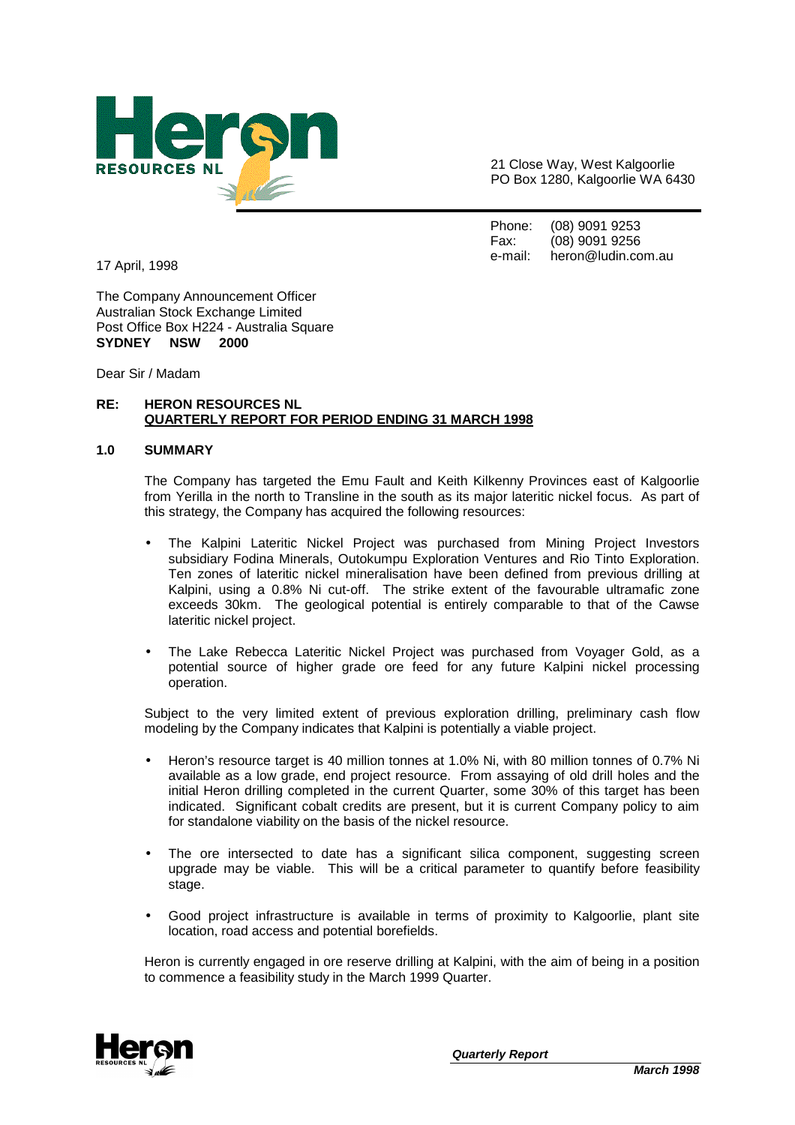

21 Close Way, West Kalgoorlie PO Box 1280, Kalgoorlie WA 6430

Phone: (08) 9091 9253 Fax: (08) 9091 9256 e-mail: heron@ludin.com.au

17 April, 1998

The Company Announcement Officer Australian Stock Exchange Limited Post Office Box H224 - Australia Square **SYDNEY NSW 2000** 

Dear Sir / Madam

# **RE: HERON RESOURCES NL QUARTERLY REPORT FOR PERIOD ENDING 31 MARCH 1998**

#### **1.0 SUMMARY**

The Company has targeted the Emu Fault and Keith Kilkenny Provinces east of Kalgoorlie from Yerilla in the north to Transline in the south as its major lateritic nickel focus. As part of this strategy, the Company has acquired the following resources:

- The Kalpini Lateritic Nickel Project was purchased from Mining Project Investors subsidiary Fodina Minerals, Outokumpu Exploration Ventures and Rio Tinto Exploration. Ten zones of lateritic nickel mineralisation have been defined from previous drilling at Kalpini, using a 0.8% Ni cut-off. The strike extent of the favourable ultramafic zone exceeds 30km. The geological potential is entirely comparable to that of the Cawse lateritic nickel project.
- The Lake Rebecca Lateritic Nickel Project was purchased from Voyager Gold, as a potential source of higher grade ore feed for any future Kalpini nickel processing operation.

Subject to the very limited extent of previous exploration drilling, preliminary cash flow modeling by the Company indicates that Kalpini is potentially a viable project.

- Heron's resource target is 40 million tonnes at 1.0% Ni, with 80 million tonnes of 0.7% Ni available as a low grade, end project resource. From assaying of old drill holes and the initial Heron drilling completed in the current Quarter, some 30% of this target has been indicated. Significant cobalt credits are present, but it is current Company policy to aim for standalone viability on the basis of the nickel resource.
- The ore intersected to date has a significant silica component, suggesting screen upgrade may be viable. This will be a critical parameter to quantify before feasibility stage.
- Good project infrastructure is available in terms of proximity to Kalgoorlie, plant site location, road access and potential borefields.

Heron is currently engaged in ore reserve drilling at Kalpini, with the aim of being in a position to commence a feasibility study in the March 1999 Quarter.

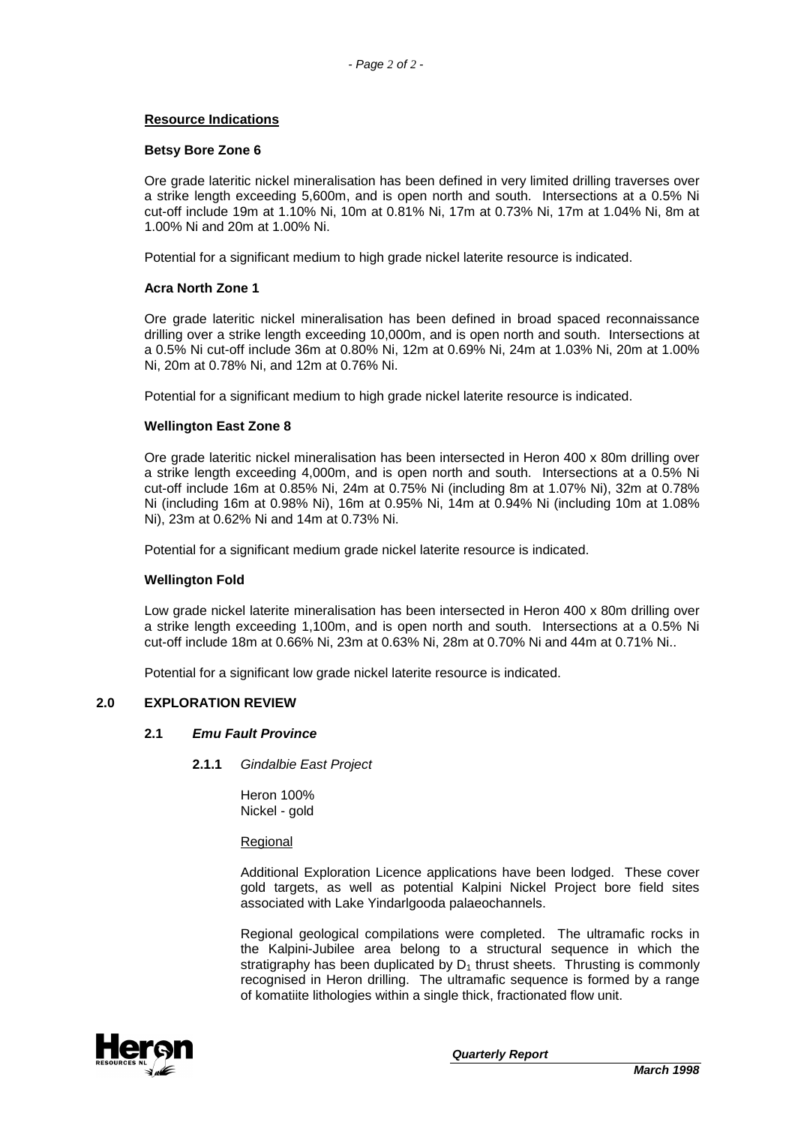## **Resource Indications**

#### **Betsy Bore Zone 6**

Ore grade lateritic nickel mineralisation has been defined in very limited drilling traverses over a strike length exceeding 5,600m, and is open north and south. Intersections at a 0.5% Ni cut-off include 19m at 1.10% Ni, 10m at 0.81% Ni, 17m at 0.73% Ni, 17m at 1.04% Ni, 8m at 1.00% Ni and 20m at 1.00% Ni.

Potential for a significant medium to high grade nickel laterite resource is indicated.

## **Acra North Zone 1**

Ore grade lateritic nickel mineralisation has been defined in broad spaced reconnaissance drilling over a strike length exceeding 10,000m, and is open north and south. Intersections at a 0.5% Ni cut-off include 36m at 0.80% Ni, 12m at 0.69% Ni, 24m at 1.03% Ni, 20m at 1.00% Ni, 20m at 0.78% Ni, and 12m at 0.76% Ni.

Potential for a significant medium to high grade nickel laterite resource is indicated.

# **Wellington East Zone 8**

Ore grade lateritic nickel mineralisation has been intersected in Heron 400 x 80m drilling over a strike length exceeding 4,000m, and is open north and south. Intersections at a 0.5% Ni cut-off include 16m at 0.85% Ni, 24m at 0.75% Ni (including 8m at 1.07% Ni), 32m at 0.78% Ni (including 16m at 0.98% Ni), 16m at 0.95% Ni, 14m at 0.94% Ni (including 10m at 1.08% Ni), 23m at 0.62% Ni and 14m at 0.73% Ni.

Potential for a significant medium grade nickel laterite resource is indicated.

#### **Wellington Fold**

Low grade nickel laterite mineralisation has been intersected in Heron 400 x 80m drilling over a strike length exceeding 1,100m, and is open north and south. Intersections at a 0.5% Ni cut-off include 18m at 0.66% Ni, 23m at 0.63% Ni, 28m at 0.70% Ni and 44m at 0.71% Ni..

Potential for a significant low grade nickel laterite resource is indicated.

#### **2.0 EXPLORATION REVIEW**

#### **2.1 Emu Fault Province**

**2.1.1** Gindalbie East Project

Heron 100% Nickel - gold

Regional

Additional Exploration Licence applications have been lodged. These cover gold targets, as well as potential Kalpini Nickel Project bore field sites associated with Lake Yindarlgooda palaeochannels.

Regional geological compilations were completed. The ultramafic rocks in the Kalpini-Jubilee area belong to a structural sequence in which the stratigraphy has been duplicated by  $D_1$  thrust sheets. Thrusting is commonly recognised in Heron drilling. The ultramafic sequence is formed by a range of komatiite lithologies within a single thick, fractionated flow unit.

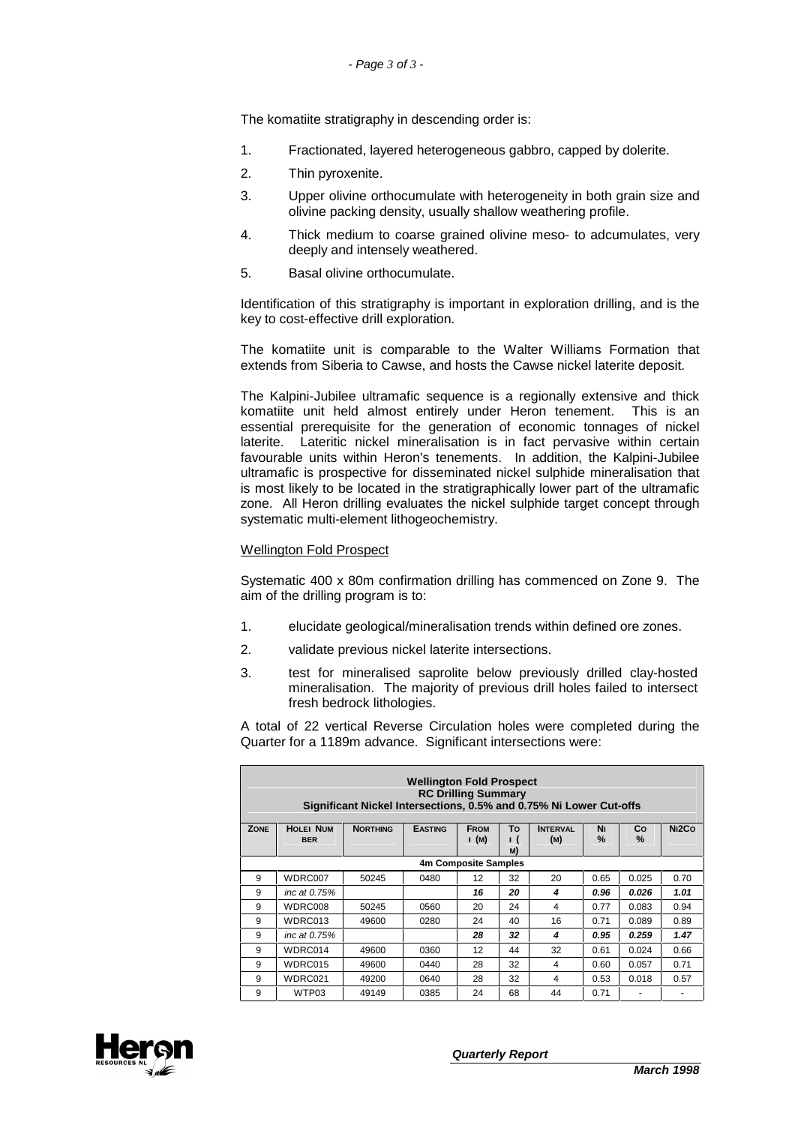The komatiite stratigraphy in descending order is:

- 1. Fractionated, layered heterogeneous gabbro, capped by dolerite.
- 2. Thin pyroxenite.
- 3. Upper olivine orthocumulate with heterogeneity in both grain size and olivine packing density, usually shallow weathering profile.
- 4. Thick medium to coarse grained olivine meso- to adcumulates, very deeply and intensely weathered.
- 5. Basal olivine orthocumulate.

Identification of this stratigraphy is important in exploration drilling, and is the key to cost-effective drill exploration.

The komatiite unit is comparable to the Walter Williams Formation that extends from Siberia to Cawse, and hosts the Cawse nickel laterite deposit.

The Kalpini-Jubilee ultramafic sequence is a regionally extensive and thick komatiite unit held almost entirely under Heron tenement. This is an essential prerequisite for the generation of economic tonnages of nickel laterite. Lateritic nickel mineralisation is in fact pervasive within certain favourable units within Heron's tenements. In addition, the Kalpini-Jubilee ultramafic is prospective for disseminated nickel sulphide mineralisation that is most likely to be located in the stratigraphically lower part of the ultramafic zone. All Heron drilling evaluates the nickel sulphide target concept through systematic multi-element lithogeochemistry.

#### Wellington Fold Prospect

Systematic 400 x 80m confirmation drilling has commenced on Zone 9. The aim of the drilling program is to:

- 1. elucidate geological/mineralisation trends within defined ore zones.
- 2. validate previous nickel laterite intersections.
- 3. test for mineralised saprolite below previously drilled clay-hosted mineralisation. The majority of previous drill holes failed to intersect fresh bedrock lithologies.

A total of 22 vertical Reverse Circulation holes were completed during the Quarter for a 1189m advance. Significant intersections were:

|             | <b>Wellington Fold Prospect</b><br><b>RC Drilling Summary</b><br>Significant Nickel Intersections, 0.5% and 0.75% Ni Lower Cut-offs |                 |                |                     |                          |                        |            |            |                    |  |
|-------------|-------------------------------------------------------------------------------------------------------------------------------------|-----------------|----------------|---------------------|--------------------------|------------------------|------------|------------|--------------------|--|
| <b>ZONE</b> | <b>HOLEI NUM</b><br><b>BER</b>                                                                                                      | <b>NORTHING</b> | <b>EASTING</b> | <b>FROM</b><br>I(M) | To<br>$\mathbf{I}$<br>M) | <b>INTERVAL</b><br>(M) | Νı<br>$\%$ | Co<br>$\%$ | N <sub>12</sub> Co |  |
|             | 4m Composite Samples                                                                                                                |                 |                |                     |                          |                        |            |            |                    |  |
| 9           | WDRC007                                                                                                                             | 50245           | 0480           | 12                  | 32                       | 20                     | 0.65       | 0.025      | 0.70               |  |
| 9           | inc at 0.75%                                                                                                                        |                 |                | 16                  | 20                       | 4                      | 0.96       | 0.026      | 1.01               |  |
| 9           | WDRC008                                                                                                                             | 50245           | 0560           | 20                  | 24                       | 4                      | 0.77       | 0.083      | 0.94               |  |
| 9           | WDRC013                                                                                                                             | 49600           | 0280           | 24                  | 40                       | 16                     | 0.71       | 0.089      | 0.89               |  |
| 9           | inc at 0.75%                                                                                                                        |                 |                | 28                  | 32                       | 4                      | 0.95       | 0.259      | 1.47               |  |
| 9           | WDRC014                                                                                                                             | 49600           | 0360           | 12                  | 44                       | 32                     | 0.61       | 0.024      | 0.66               |  |
| 9           | WDRC015                                                                                                                             | 49600           | 0440           | 28                  | 32                       | 4                      | 0.60       | 0.057      | 0.71               |  |
| 9           | WDRC021                                                                                                                             | 49200           | 0640           | 28                  | 32                       | 4                      | 0.53       | 0.018      | 0.57               |  |
| 9           | WTP03                                                                                                                               | 49149           | 0385           | 24                  | 68                       | 44                     | 0.71       |            |                    |  |

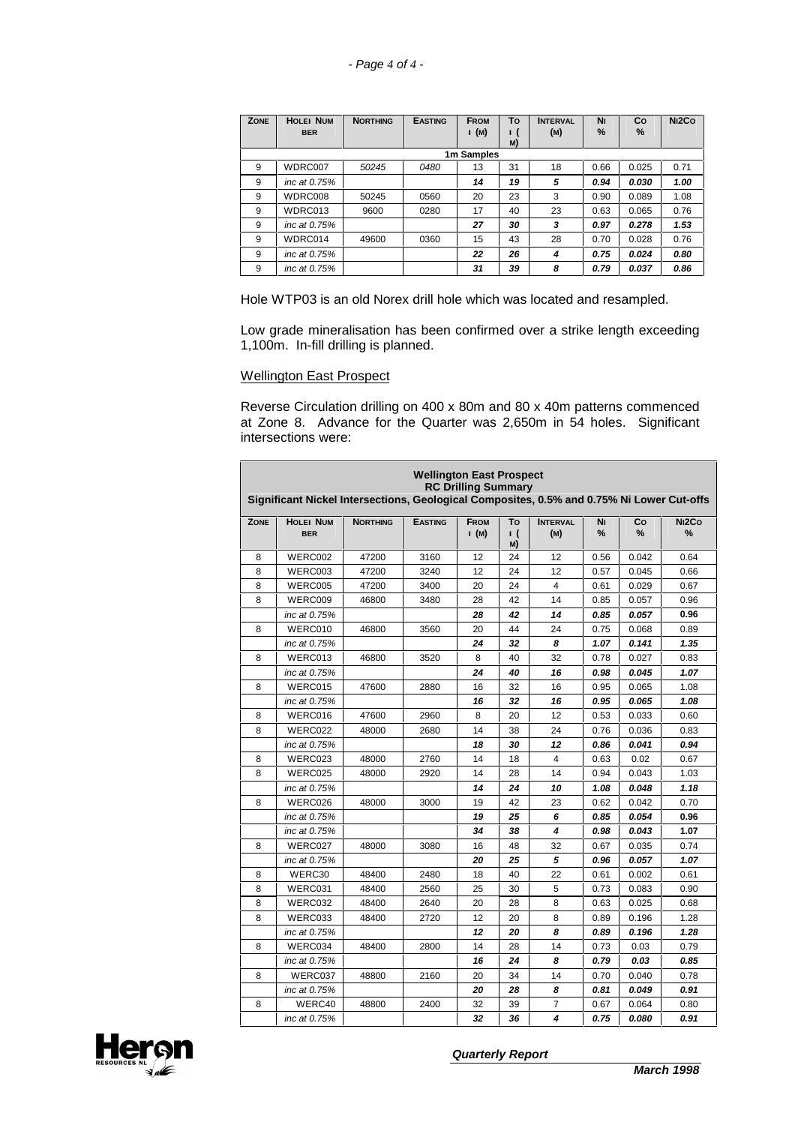| ZONE | <b>HOLEI NUM</b> | <b>NORTHING</b> | <b>EASTING</b> | <b>FROM</b> | To             | <b>INTERVAL</b> | Νı   | Co    | N <sub>12</sub> Co |
|------|------------------|-----------------|----------------|-------------|----------------|-----------------|------|-------|--------------------|
|      | <b>BER</b>       |                 |                | I(M)        | <b>1</b><br>M) | (M)             | $\%$ | $\%$  |                    |
|      |                  |                 |                | 1m Samples  |                |                 |      |       |                    |
| 9    | WDRC007          | 50245           | 0480           | 13          | 31             | 18              | 0.66 | 0.025 | 0.71               |
| 9    | inc at 0.75%     |                 |                | 14          | 19             | 5               | 0.94 | 0.030 | 1.00               |
| 9    | WDRC008          | 50245           | 0560           | 20          | 23             | 3               | 0.90 | 0.089 | 1.08               |
| 9    | WDRC013          | 9600            | 0280           | 17          | 40             | 23              | 0.63 | 0.065 | 0.76               |
| 9    | inc at 0.75%     |                 |                | 27          | 30             | 3               | 0.97 | 0.278 | 1.53               |
| 9    | WDRC014          | 49600           | 0360           | 15          | 43             | 28              | 0.70 | 0.028 | 0.76               |
| 9    | inc at 0.75%     |                 |                | 22          | 26             | 4               | 0.75 | 0.024 | 0.80               |
| 9    | inc at 0.75%     |                 |                | 31          | 39             | 8               | 0.79 | 0.037 | 0.86               |

Hole WTP03 is an old Norex drill hole which was located and resampled.

Low grade mineralisation has been confirmed over a strike length exceeding 1,100m. In-fill drilling is planned.

# Wellington East Prospect

Reverse Circulation drilling on 400 x 80m and 80 x 40m patterns commenced at Zone 8. Advance for the Quarter was 2,650m in 54 holes. Significant intersections were:

| <b>Wellington East Prospect</b><br><b>RC Drilling Summary</b><br>Significant Nickel Intersections, Geological Composites, 0.5% and 0.75% Ni Lower Cut-offs |                                |                 |                |                      |                        |                         |         |         |                         |
|------------------------------------------------------------------------------------------------------------------------------------------------------------|--------------------------------|-----------------|----------------|----------------------|------------------------|-------------------------|---------|---------|-------------------------|
| <b>ZONE</b>                                                                                                                                                | <b>HOLEI NUM</b><br><b>BER</b> | <b>NORTHING</b> | <b>EASTING</b> | <b>FROM</b><br>1 (M) | To<br><u>ı</u> (<br>M) | <b>INTERVAL</b><br>(M)  | Νı<br>% | Co<br>% | N <sub>12</sub> Co<br>% |
| 8                                                                                                                                                          | WERC002                        | 47200           | 3160           | 12                   | 24                     | 12                      | 0.56    | 0.042   | 0.64                    |
| 8                                                                                                                                                          | WERC003                        | 47200           | 3240           | 12                   | 24                     | 12                      | 0.57    | 0.045   | 0.66                    |
| 8                                                                                                                                                          | WERC005                        | 47200           | 3400           | 20                   | 24                     | 4                       | 0.61    | 0.029   | 0.67                    |
| 8                                                                                                                                                          | WERC009                        | 46800           | 3480           | 28                   | 42                     | 14                      | 0.85    | 0.057   | 0.96                    |
|                                                                                                                                                            | inc at 0.75%                   |                 |                | 28                   | 42                     | 14                      | 0.85    | 0.057   | 0.96                    |
| 8                                                                                                                                                          | WERC010                        | 46800           | 3560           | 20                   | 44                     | 24                      | 0.75    | 0.068   | 0.89                    |
|                                                                                                                                                            | inc at 0.75%                   |                 |                | 24                   | 32                     | 8                       | 1.07    | 0.141   | 1.35                    |
| 8                                                                                                                                                          | WERC013                        | 46800           | 3520           | 8                    | 40                     | 32                      | 0.78    | 0.027   | 0.83                    |
|                                                                                                                                                            | inc at 0.75%                   |                 |                | 24                   | 40                     | 16                      | 0.98    | 0.045   | 1.07                    |
| 8                                                                                                                                                          | WERC015                        | 47600           | 2880           | 16                   | 32                     | 16                      | 0.95    | 0.065   | 1.08                    |
|                                                                                                                                                            | inc at 0.75%                   |                 |                | 16                   | 32                     | 16                      | 0.95    | 0.065   | 1.08                    |
| 8                                                                                                                                                          | WERC016                        | 47600           | 2960           | 8                    | 20                     | 12                      | 0.53    | 0.033   | 0.60                    |
| 8                                                                                                                                                          | WERC022                        | 48000           | 2680           | 14                   | 38                     | 24                      | 0.76    | 0.036   | 0.83                    |
|                                                                                                                                                            | inc at 0.75%                   |                 |                | 18                   | 30                     | 12                      | 0.86    | 0.041   | 0.94                    |
| 8                                                                                                                                                          | WERC023                        | 48000           | 2760           | 14                   | 18                     | $\overline{\mathbf{4}}$ | 0.63    | 0.02    | 0.67                    |
| 8                                                                                                                                                          | WERC025                        | 48000           | 2920           | 14                   | 28                     | 14                      | 0.94    | 0.043   | 1.03                    |
|                                                                                                                                                            | inc at 0.75%                   |                 |                | 14                   | 24                     | 10                      | 1.08    | 0.048   | 1.18                    |
| 8                                                                                                                                                          | WERC026                        | 48000           | 3000           | 19                   | 42                     | 23                      | 0.62    | 0.042   | 0.70                    |
|                                                                                                                                                            | inc at 0.75%                   |                 |                | 19                   | 25                     | 6                       | 0.85    | 0.054   | 0.96                    |
|                                                                                                                                                            | inc at 0.75%                   |                 |                | 34                   | 38                     | 4                       | 0.98    | 0.043   | 1.07                    |
| 8                                                                                                                                                          | WERC027                        | 48000           | 3080           | 16                   | 48                     | 32                      | 0.67    | 0.035   | 0.74                    |
|                                                                                                                                                            | inc at 0.75%                   |                 |                | 20                   | 25                     | 5                       | 0.96    | 0.057   | 1.07                    |
| 8                                                                                                                                                          | WERC30                         | 48400           | 2480           | 18                   | 40                     | 22                      | 0.61    | 0.002   | 0.61                    |
| 8                                                                                                                                                          | WERC031                        | 48400           | 2560           | 25                   | 30                     | 5                       | 0.73    | 0.083   | 0.90                    |
| 8                                                                                                                                                          | WERC032                        | 48400           | 2640           | 20                   | 28                     | 8                       | 0.63    | 0.025   | 0.68                    |
| 8                                                                                                                                                          | WERC033                        | 48400           | 2720           | 12                   | 20                     | 8                       | 0.89    | 0.196   | 1.28                    |
|                                                                                                                                                            | inc at 0.75%                   |                 |                | 12                   | 20                     | 8                       | 0.89    | 0.196   | 1.28                    |
| 8                                                                                                                                                          | WERC034                        | 48400           | 2800           | 14                   | 28                     | 14                      | 0.73    | 0.03    | 0.79                    |
|                                                                                                                                                            | inc at 0.75%                   |                 |                | 16                   | 24                     | 8                       | 0.79    | 0.03    | 0.85                    |
| 8                                                                                                                                                          | WERC037                        | 48800           | 2160           | 20                   | 34                     | 14                      | 0.70    | 0.040   | 0.78                    |
|                                                                                                                                                            | inc at 0.75%                   |                 |                | 20                   | 28                     | 8                       | 0.81    | 0.049   | 0.91                    |
| 8                                                                                                                                                          | WERC40                         | 48800           | 2400           | 32                   | 39                     | 7                       | 0.67    | 0.064   | 0.80                    |
|                                                                                                                                                            | inc at 0.75%                   |                 |                | 32                   | 36                     | 4                       | 0.75    | 0.080   | 0.91                    |

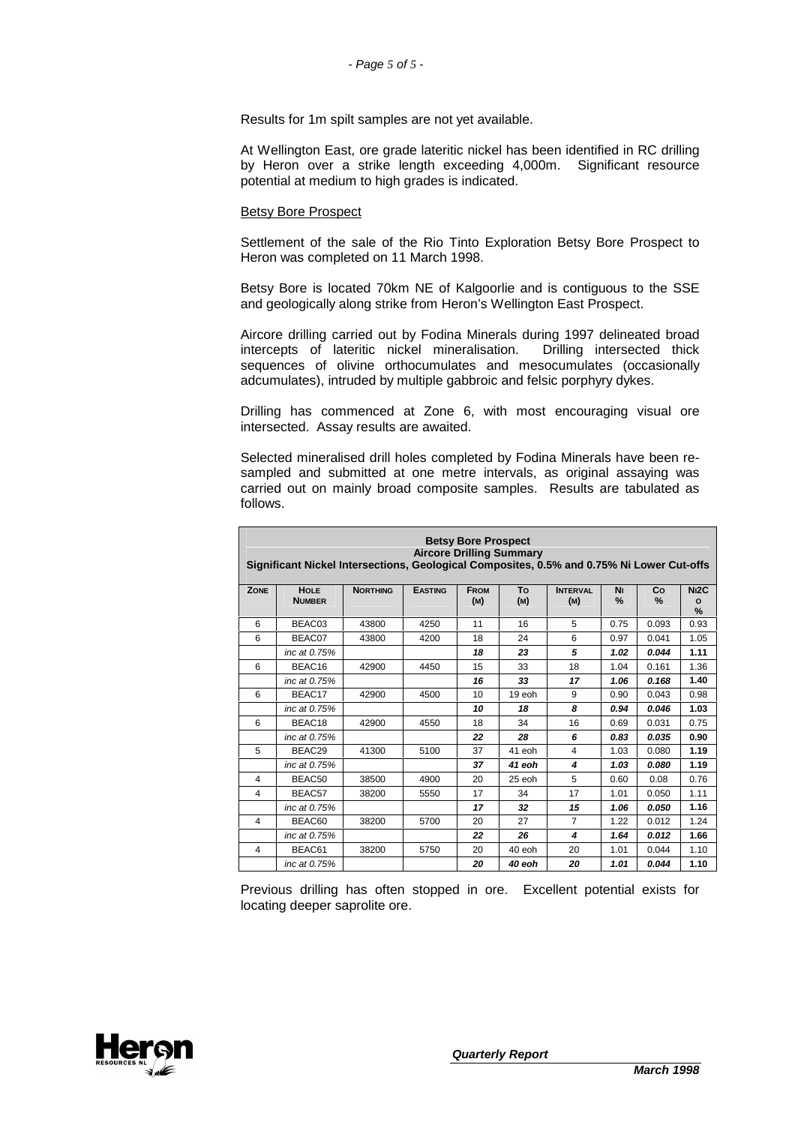Results for 1m spilt samples are not yet available.

At Wellington East, ore grade lateritic nickel has been identified in RC drilling by Heron over a strike length exceeding 4,000m. Significant resource potential at medium to high grades is indicated.

#### Betsy Bore Prospect

Settlement of the sale of the Rio Tinto Exploration Betsy Bore Prospect to Heron was completed on 11 March 1998.

Betsy Bore is located 70km NE of Kalgoorlie and is contiguous to the SSE and geologically along strike from Heron's Wellington East Prospect.

Aircore drilling carried out by Fodina Minerals during 1997 delineated broad intercepts of lateritic nickel mineralisation. Drilling intersected thick sequences of olivine orthocumulates and mesocumulates (occasionally adcumulates), intruded by multiple gabbroic and felsic porphyry dykes.

Drilling has commenced at Zone 6, with most encouraging visual ore intersected. Assay results are awaited.

Selected mineralised drill holes completed by Fodina Minerals have been resampled and submitted at one metre intervals, as original assaying was carried out on mainly broad composite samples. Results are tabulated as follows.

|                | <b>Betsy Bore Prospect</b><br><b>Aircore Drilling Summary</b><br>Significant Nickel Intersections, Geological Composites, 0.5% and 0.75% Ni Lower Cut-offs |                 |                |                    |           |                        |         |         |                                   |  |
|----------------|------------------------------------------------------------------------------------------------------------------------------------------------------------|-----------------|----------------|--------------------|-----------|------------------------|---------|---------|-----------------------------------|--|
| ZONE           | <b>HOLE</b><br><b>NUMBER</b>                                                                                                                               | <b>NORTHING</b> | <b>EASTING</b> | <b>FROM</b><br>(M) | To<br>(M) | <b>INTERVAL</b><br>(M) | Νı<br>% | Co<br>% | N <sub>12</sub> C<br>$\circ$<br>% |  |
| 6              | BEAC03                                                                                                                                                     | 43800           | 4250           | 11                 | 16        | 5                      | 0.75    | 0.093   | 0.93                              |  |
| 6              | BEAC07                                                                                                                                                     | 43800           | 4200           | 18                 | 24        | 6                      | 0.97    | 0.041   | 1.05                              |  |
|                | inc at 0.75%                                                                                                                                               |                 |                | 18                 | 23        | 5                      | 1.02    | 0.044   | 1.11                              |  |
| 6              | BEAC16                                                                                                                                                     | 42900           | 4450           | 15                 | 33        | 18                     | 1.04    | 0.161   | 1.36                              |  |
|                | inc at 0.75%                                                                                                                                               |                 |                | 16                 | 33        | 17                     | 1.06    | 0.168   | 1.40                              |  |
| 6              | BEAC17                                                                                                                                                     | 42900           | 4500           | 10 <sup>1</sup>    | 19 eoh    | 9                      | 0.90    | 0.043   | 0.98                              |  |
|                | inc at 0.75%                                                                                                                                               |                 |                | 10                 | 18        | 8                      | 0.94    | 0.046   | 1.03                              |  |
| 6              | BEAC18                                                                                                                                                     | 42900           | 4550           | 18                 | 34        | 16                     | 0.69    | 0.031   | 0.75                              |  |
|                | inc at 0.75%                                                                                                                                               |                 |                | 22                 | 28        | 6                      | 0.83    | 0.035   | 0.90                              |  |
| 5              | BEAC29                                                                                                                                                     | 41300           | 5100           | 37                 | 41 eoh    | 4                      | 1.03    | 0.080   | 1.19                              |  |
|                | inc at 0.75%                                                                                                                                               |                 |                | 37                 | 41 eoh    | 4                      | 1.03    | 0.080   | 1.19                              |  |
| 4              | BEAC50                                                                                                                                                     | 38500           | 4900           | 20                 | 25 eoh    | 5                      | 0.60    | 0.08    | 0.76                              |  |
| 4              | BEAC57                                                                                                                                                     | 38200           | 5550           | 17                 | 34        | 17                     | 1.01    | 0.050   | 1.11                              |  |
|                | inc at 0.75%                                                                                                                                               |                 |                | 17                 | 32        | 15                     | 1.06    | 0.050   | 1.16                              |  |
| $\overline{4}$ | BEAC60                                                                                                                                                     | 38200           | 5700           | 20                 | 27        | $\overline{7}$         | 1.22    | 0.012   | 1.24                              |  |
|                | inc at 0.75%                                                                                                                                               |                 |                | 22                 | 26        | 4                      | 1.64    | 0.012   | 1.66                              |  |
| $\overline{4}$ | BEAC61                                                                                                                                                     | 38200           | 5750           | 20                 | $40$ eoh  | 20                     | 1.01    | 0.044   | 1.10                              |  |
|                | inc at 0.75%                                                                                                                                               |                 |                | 20                 | 40 eoh    | 20                     | 1.01    | 0.044   | 1.10                              |  |

Previous drilling has often stopped in ore. Excellent potential exists for locating deeper saprolite ore.

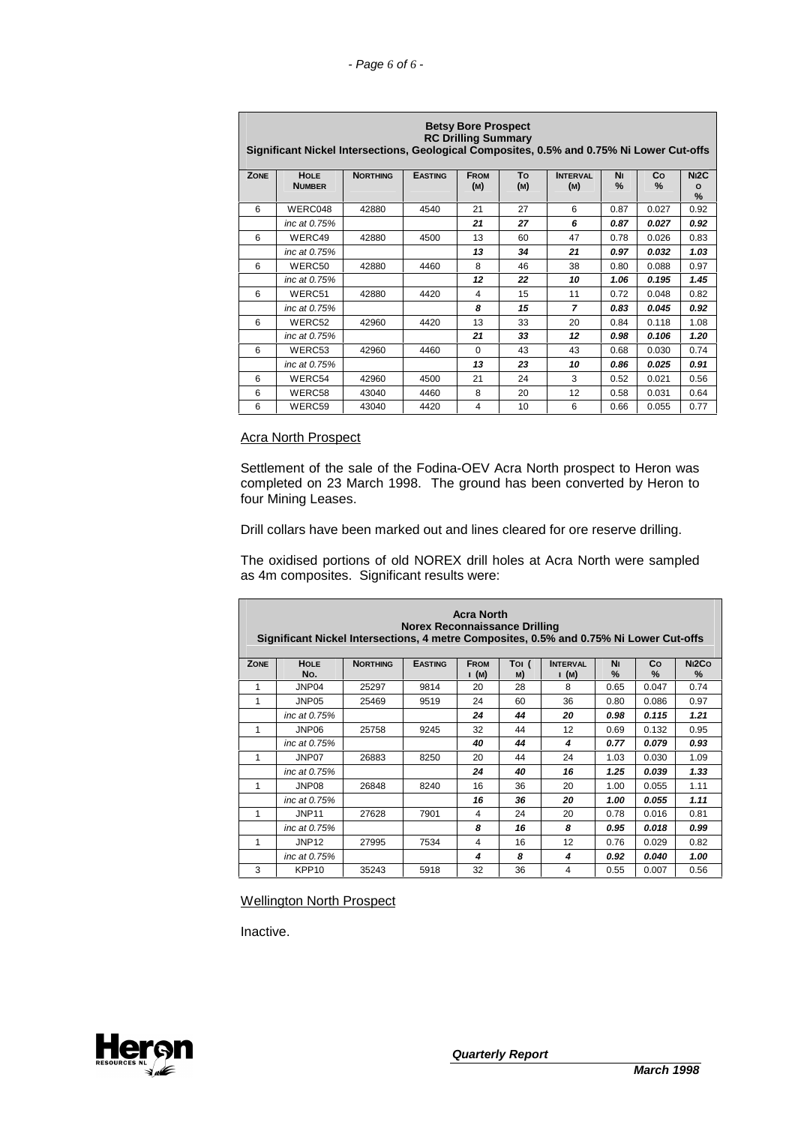|             | <b>Betsy Bore Prospect</b><br><b>RC Drilling Summary</b><br>Significant Nickel Intersections, Geological Composites, 0.5% and 0.75% Ni Lower Cut-offs |                 |                |             |     |                 |               |       |                   |  |
|-------------|-------------------------------------------------------------------------------------------------------------------------------------------------------|-----------------|----------------|-------------|-----|-----------------|---------------|-------|-------------------|--|
| <b>ZONE</b> | <b>HOLE</b>                                                                                                                                           | <b>NORTHING</b> | <b>EASTING</b> | <b>FROM</b> | To  | <b>INTERVAL</b> | Νı            | Co    | N <sub>12</sub> C |  |
|             | <b>NUMBER</b>                                                                                                                                         |                 |                | (M)         | (M) | (M)             | $\frac{9}{6}$ | $\%$  | $\circ$<br>%      |  |
| 6           | WERC048                                                                                                                                               | 42880           | 4540           | 21          | 27  | 6               | 0.87          | 0.027 | 0.92              |  |
|             | inc at 0.75%                                                                                                                                          |                 |                | 21          | 27  | 6               | 0.87          | 0.027 | 0.92              |  |
| 6           | WERC49                                                                                                                                                | 42880           | 4500           | 13          | 60  | 47              | 0.78          | 0.026 | 0.83              |  |
|             | inc at 0.75%                                                                                                                                          |                 |                | 13          | 34  | 21              | 0.97          | 0.032 | 1.03              |  |
| 6           | WERC50                                                                                                                                                | 42880           | 4460           | 8           | 46  | 38              | 0.80          | 0.088 | 0.97              |  |
|             | inc at 0.75%                                                                                                                                          |                 |                | 12          | 22  | 10              | 1.06          | 0.195 | 1.45              |  |
| 6           | WERC51                                                                                                                                                | 42880           | 4420           | 4           | 15  | 11              | 0.72          | 0.048 | 0.82              |  |
|             | inc at 0.75%                                                                                                                                          |                 |                | 8           | 15  | $\overline{ }$  | 0.83          | 0.045 | 0.92              |  |
| 6           | WERC52                                                                                                                                                | 42960           | 4420           | 13          | 33  | 20              | 0.84          | 0.118 | 1.08              |  |
|             | inc at 0.75%                                                                                                                                          |                 |                | 21          | 33  | 12              | 0.98          | 0.106 | 1.20              |  |
| 6           | WERC53                                                                                                                                                | 42960           | 4460           | 0           | 43  | 43              | 0.68          | 0.030 | 0.74              |  |
|             | inc at 0.75%                                                                                                                                          |                 |                | 13          | 23  | 10              | 0.86          | 0.025 | 0.91              |  |
| 6           | WERC54                                                                                                                                                | 42960           | 4500           | 21          | 24  | 3               | 0.52          | 0.021 | 0.56              |  |
| 6           | WERC58                                                                                                                                                | 43040           | 4460           | 8           | 20  | 12              | 0.58          | 0.031 | 0.64              |  |
| 6           | WERC59                                                                                                                                                | 43040           | 4420           | 4           | 10  | 6               | 0.66          | 0.055 | 0.77              |  |

# **Acra North Prospect**

Settlement of the sale of the Fodina-OEV Acra North prospect to Heron was completed on 23 March 1998. The ground has been converted by Heron to four Mining Leases.

Drill collars have been marked out and lines cleared for ore reserve drilling.

The oxidised portions of old NOREX drill holes at Acra North were sampled as 4m composites. Significant results were:

|             | <b>Acra North</b><br>Norex Reconnaissance Drilling<br>Significant Nickel Intersections, 4 metre Composites, 0.5% and 0.75% Ni Lower Cut-offs |                 |                |                         |             |                 |                     |            |                                     |  |
|-------------|----------------------------------------------------------------------------------------------------------------------------------------------|-----------------|----------------|-------------------------|-------------|-----------------|---------------------|------------|-------------------------------------|--|
| <b>ZONE</b> | <b>HOLE</b><br>No.                                                                                                                           | <b>NORTHING</b> | <b>EASTING</b> | <b>FROM</b><br>I (M)    | Toi (<br>M) | <b>INTERVAL</b> | Νı<br>$\frac{0}{0}$ | Co<br>$\%$ | N <sub>12</sub> Co<br>$\frac{9}{6}$ |  |
| 1           | JNP04                                                                                                                                        | 25297           | 9814           | 20                      | 28          | (M)<br>8        | 0.65                | 0.047      | 0.74                                |  |
| 1           | JNP05                                                                                                                                        | 25469           | 9519           | 24                      | 60          | 36              | 0.80                | 0.086      | 0.97                                |  |
|             | inc at 0.75%                                                                                                                                 |                 |                | 24                      | 44          | 20              | 0.98                | 0.115      | 1.21                                |  |
| 1           | JNP06                                                                                                                                        | 25758           | 9245           | 32                      | 44          | 12              | 0.69                | 0.132      | 0.95                                |  |
|             | inc at 0.75%                                                                                                                                 |                 |                | 40                      | 44          | 4               | 0.77                | 0.079      | 0.93                                |  |
| 1           | JNP07                                                                                                                                        | 26883           | 8250           | 20                      | 44          | 24              | 1.03                | 0.030      | 1.09                                |  |
|             | inc at 0.75%                                                                                                                                 |                 |                | 24                      | 40          | 16              | 1.25                | 0.039      | 1.33                                |  |
| 1           | JNP08                                                                                                                                        | 26848           | 8240           | 16                      | 36          | 20              | 1.00                | 0.055      | 1.11                                |  |
|             | inc at 0.75%                                                                                                                                 |                 |                | 16                      | 36          | 20              | 1.00                | 0.055      | 1.11                                |  |
| 1           | JNP <sub>11</sub>                                                                                                                            | 27628           | 7901           | 4                       | 24          | 20              | 0.78                | 0.016      | 0.81                                |  |
|             | inc at 0.75%                                                                                                                                 |                 |                | 8                       | 16          | 8               | 0.95                | 0.018      | 0.99                                |  |
| 1           | JNP <sub>12</sub>                                                                                                                            | 27995           | 7534           | $\overline{\mathbf{4}}$ | 16          | 12              | 0.76                | 0.029      | 0.82                                |  |
|             | inc at 0.75%                                                                                                                                 |                 |                | 4                       | 8           | 4               | 0.92                | 0.040      | 1.00                                |  |
| 3           | KPP <sub>10</sub>                                                                                                                            | 35243           | 5918           | 32                      | 36          | 4               | 0.55                | 0.007      | 0.56                                |  |

Wellington North Prospect

Inactive.

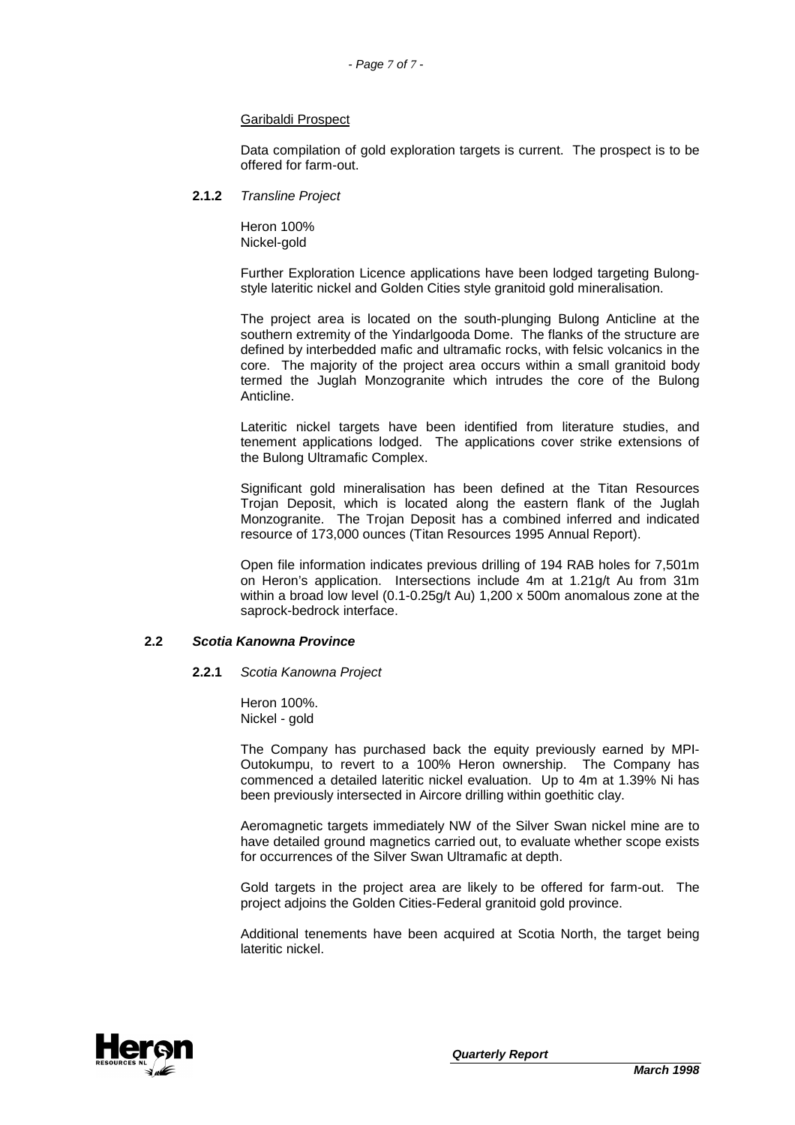#### Garibaldi Prospect

Data compilation of gold exploration targets is current. The prospect is to be offered for farm-out.

#### **2.1.2** Transline Project

Heron 100% Nickel-gold

Further Exploration Licence applications have been lodged targeting Bulongstyle lateritic nickel and Golden Cities style granitoid gold mineralisation.

The project area is located on the south-plunging Bulong Anticline at the southern extremity of the Yindarlgooda Dome. The flanks of the structure are defined by interbedded mafic and ultramafic rocks, with felsic volcanics in the core. The majority of the project area occurs within a small granitoid body termed the Juglah Monzogranite which intrudes the core of the Bulong Anticline.

Lateritic nickel targets have been identified from literature studies, and tenement applications lodged. The applications cover strike extensions of the Bulong Ultramafic Complex.

Significant gold mineralisation has been defined at the Titan Resources Trojan Deposit, which is located along the eastern flank of the Juglah Monzogranite. The Trojan Deposit has a combined inferred and indicated resource of 173,000 ounces (Titan Resources 1995 Annual Report).

Open file information indicates previous drilling of 194 RAB holes for 7,501m on Heron's application. Intersections include 4m at 1.21g/t Au from 31m within a broad low level (0.1-0.25g/t Au) 1,200 x 500m anomalous zone at the saprock-bedrock interface.

#### **2.2 Scotia Kanowna Province**

#### **2.2.1** Scotia Kanowna Project

Heron 100%. Nickel - gold

The Company has purchased back the equity previously earned by MPI-Outokumpu, to revert to a 100% Heron ownership. The Company has commenced a detailed lateritic nickel evaluation. Up to 4m at 1.39% Ni has been previously intersected in Aircore drilling within goethitic clay.

Aeromagnetic targets immediately NW of the Silver Swan nickel mine are to have detailed ground magnetics carried out, to evaluate whether scope exists for occurrences of the Silver Swan Ultramafic at depth.

Gold targets in the project area are likely to be offered for farm-out. The project adjoins the Golden Cities-Federal granitoid gold province.

Additional tenements have been acquired at Scotia North, the target being lateritic nickel.

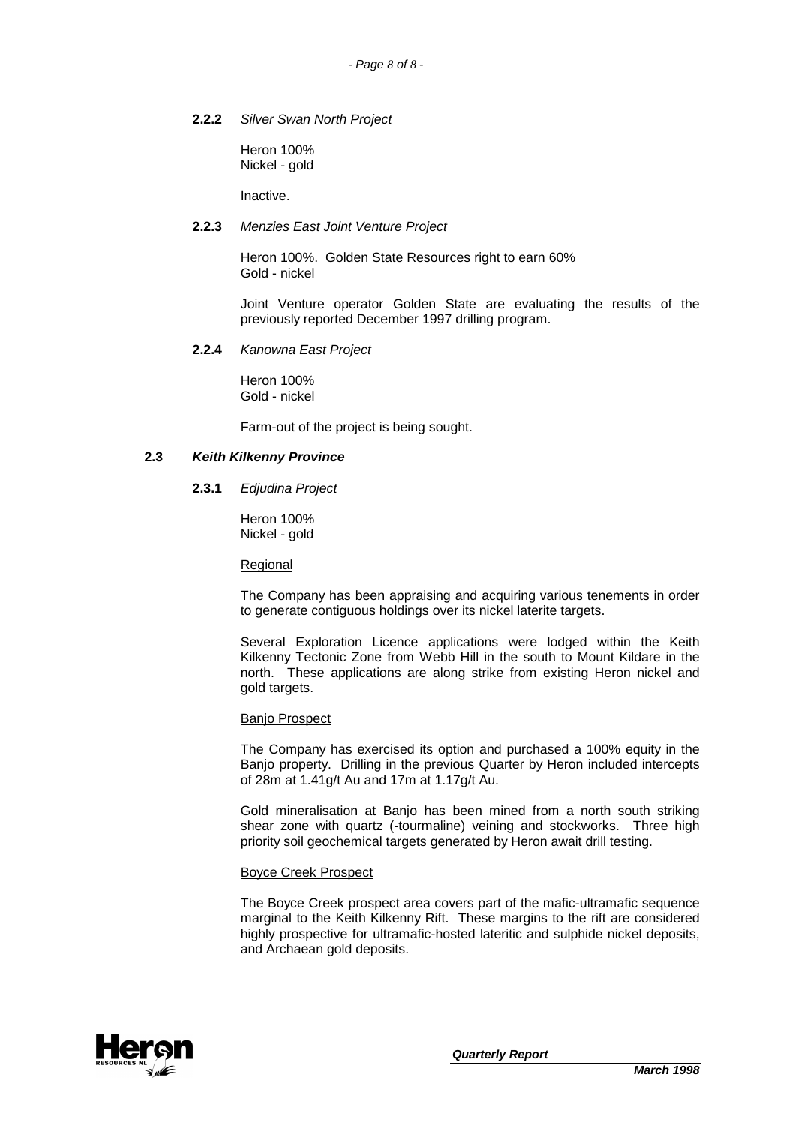#### **2.2.2** Silver Swan North Project

Heron 100% Nickel - gold

Inactive.

# **2.2.3** Menzies East Joint Venture Project

Heron 100%. Golden State Resources right to earn 60% Gold - nickel

Joint Venture operator Golden State are evaluating the results of the previously reported December 1997 drilling program.

#### **2.2.4** Kanowna East Project

Heron 100% Gold - nickel

Farm-out of the project is being sought.

#### **2.3 Keith Kilkenny Province**

**2.3.1** Edjudina Project

Heron 100% Nickel - gold

Regional

The Company has been appraising and acquiring various tenements in order to generate contiguous holdings over its nickel laterite targets.

Several Exploration Licence applications were lodged within the Keith Kilkenny Tectonic Zone from Webb Hill in the south to Mount Kildare in the north. These applications are along strike from existing Heron nickel and gold targets.

#### Banjo Prospect

The Company has exercised its option and purchased a 100% equity in the Banjo property. Drilling in the previous Quarter by Heron included intercepts of 28m at 1.41g/t Au and 17m at 1.17g/t Au.

Gold mineralisation at Banjo has been mined from a north south striking shear zone with quartz (-tourmaline) veining and stockworks. Three high priority soil geochemical targets generated by Heron await drill testing.

#### Boyce Creek Prospect

The Boyce Creek prospect area covers part of the mafic-ultramafic sequence marginal to the Keith Kilkenny Rift. These margins to the rift are considered highly prospective for ultramafic-hosted lateritic and sulphide nickel deposits, and Archaean gold deposits.

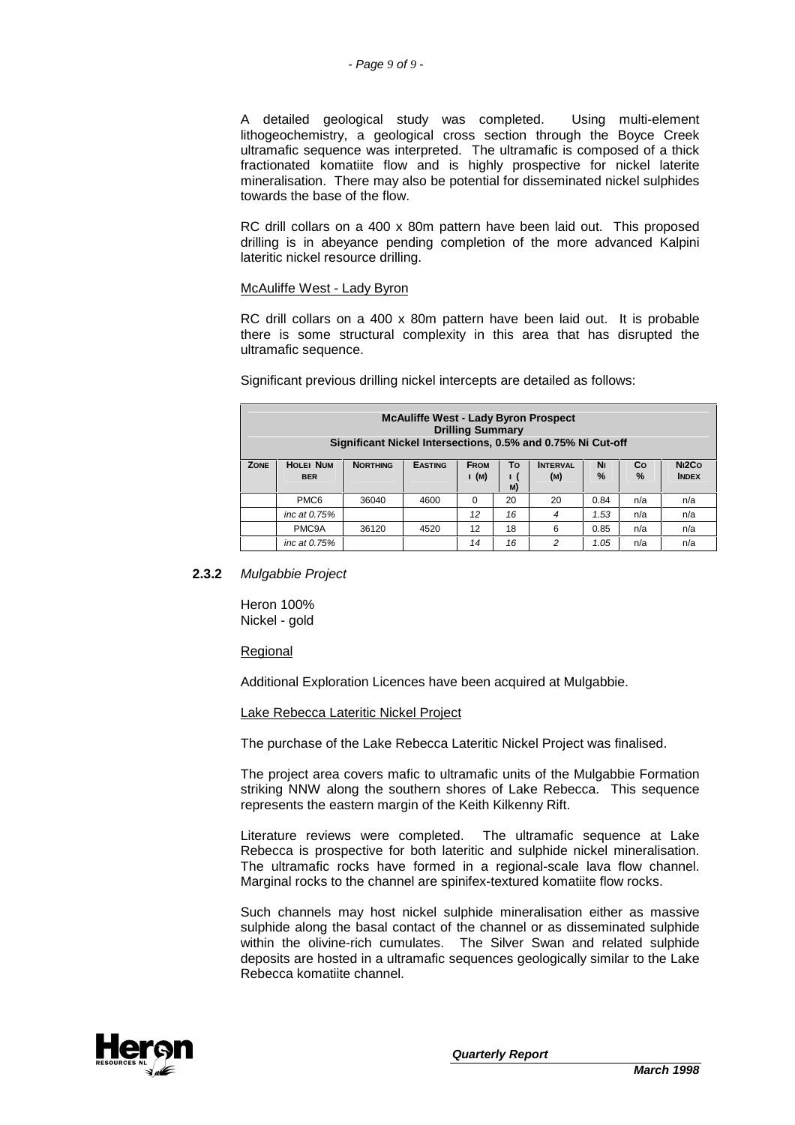A detailed geological study was completed. Using multi-element lithogeochemistry, a geological cross section through the Boyce Creek ultramafic sequence was interpreted. The ultramafic is composed of a thick fractionated komatiite flow and is highly prospective for nickel laterite mineralisation. There may also be potential for disseminated nickel sulphides towards the base of the flow.

RC drill collars on a 400 x 80m pattern have been laid out. This proposed drilling is in abeyance pending completion of the more advanced Kalpini lateritic nickel resource drilling.

#### McAuliffe West - Lady Byron

RC drill collars on a 400 x 80m pattern have been laid out. It is probable there is some structural complexity in this area that has disrupted the ultramafic sequence.

|  |  |  | Significant previous drilling nickel intercepts are detailed as follows: |
|--|--|--|--------------------------------------------------------------------------|
|  |  |  |                                                                          |

| <b>McAuliffe West - Lady Byron Prospect</b><br><b>Drilling Summary</b><br>Significant Nickel Intersections, 0.5% and 0.75% Ni Cut-off |                                |                 |                |                      |                    |                        |            |         |                                    |
|---------------------------------------------------------------------------------------------------------------------------------------|--------------------------------|-----------------|----------------|----------------------|--------------------|------------------------|------------|---------|------------------------------------|
| <b>ZONE</b>                                                                                                                           | <b>HOLEI NUM</b><br><b>BER</b> | <b>NORTHING</b> | <b>EASTING</b> | <b>FROM</b><br>I (M) | To<br>$\mathbf{I}$ | <b>INTERVAL</b><br>(M) | Νı<br>$\%$ | Co<br>% | N <sub>12</sub> Co<br><b>INDEX</b> |
|                                                                                                                                       |                                |                 |                |                      | M)                 |                        |            |         |                                    |
|                                                                                                                                       | PMC <sub>6</sub>               | 36040           | 4600           | $\Omega$             | 20                 | 20                     | 0.84       | n/a     | n/a                                |
|                                                                                                                                       | inc at 0.75%                   |                 |                | 12                   | 16                 | 4                      | 1.53       | n/a     | n/a                                |
|                                                                                                                                       | PMC9A                          | 36120           | 4520           | 12                   | 18                 | 6                      | 0.85       | n/a     | n/a                                |
|                                                                                                                                       | inc at 0.75%                   |                 |                | 14                   | 16                 | 2                      | 1.05       | n/a     | n/a                                |

#### **2.3.2** Mulgabbie Project

Heron 100% Nickel - gold

#### Regional

Additional Exploration Licences have been acquired at Mulgabbie.

#### Lake Rebecca Lateritic Nickel Project

The purchase of the Lake Rebecca Lateritic Nickel Project was finalised.

The project area covers mafic to ultramafic units of the Mulgabbie Formation striking NNW along the southern shores of Lake Rebecca. This sequence represents the eastern margin of the Keith Kilkenny Rift.

Literature reviews were completed. The ultramafic sequence at Lake Rebecca is prospective for both lateritic and sulphide nickel mineralisation. The ultramafic rocks have formed in a regional-scale lava flow channel. Marginal rocks to the channel are spinifex-textured komatiite flow rocks.

Such channels may host nickel sulphide mineralisation either as massive sulphide along the basal contact of the channel or as disseminated sulphide within the olivine-rich cumulates. The Silver Swan and related sulphide deposits are hosted in a ultramafic sequences geologically similar to the Lake Rebecca komatiite channel.

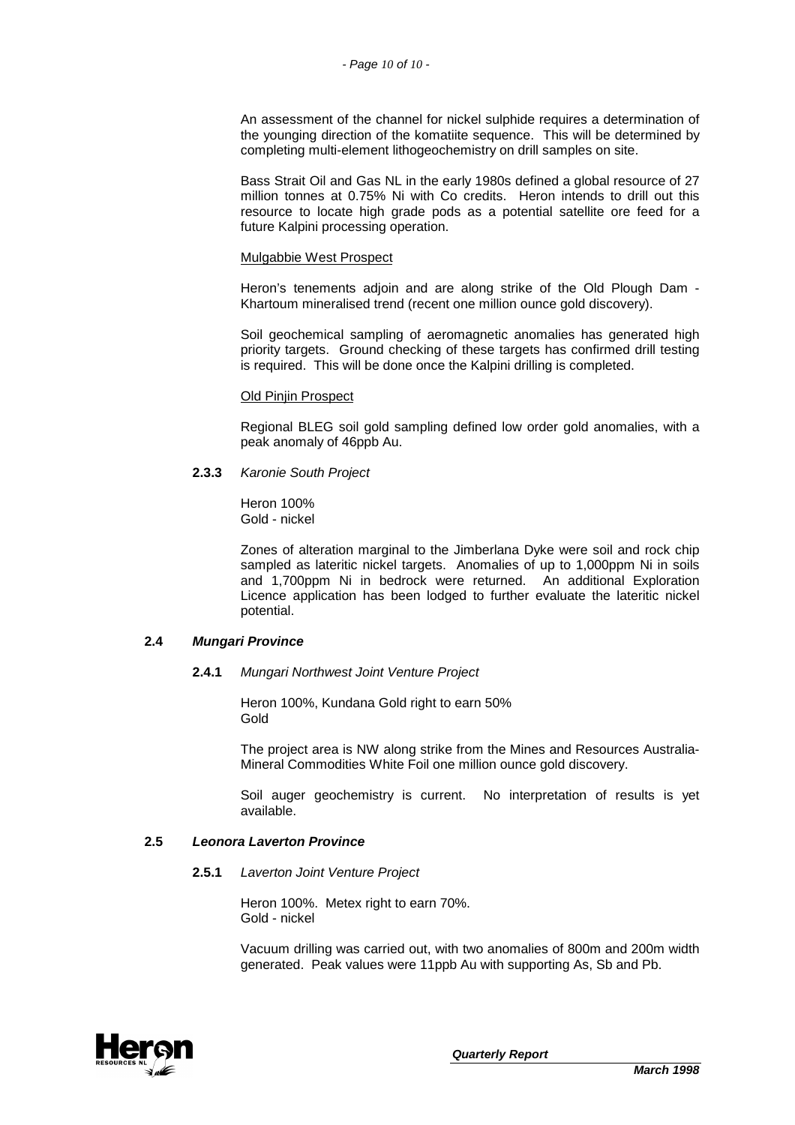An assessment of the channel for nickel sulphide requires a determination of the younging direction of the komatiite sequence. This will be determined by completing multi-element lithogeochemistry on drill samples on site.

Bass Strait Oil and Gas NL in the early 1980s defined a global resource of 27 million tonnes at 0.75% Ni with Co credits. Heron intends to drill out this resource to locate high grade pods as a potential satellite ore feed for a future Kalpini processing operation.

#### Mulgabbie West Prospect

Heron's tenements adjoin and are along strike of the Old Plough Dam - Khartoum mineralised trend (recent one million ounce gold discovery).

Soil geochemical sampling of aeromagnetic anomalies has generated high priority targets. Ground checking of these targets has confirmed drill testing is required. This will be done once the Kalpini drilling is completed.

#### Old Pinjin Prospect

Regional BLEG soil gold sampling defined low order gold anomalies, with a peak anomaly of 46ppb Au.

#### **2.3.3** Karonie South Project

Heron 100% Gold - nickel

Zones of alteration marginal to the Jimberlana Dyke were soil and rock chip sampled as lateritic nickel targets. Anomalies of up to 1,000ppm Ni in soils and 1,700ppm Ni in bedrock were returned. An additional Exploration Licence application has been lodged to further evaluate the lateritic nickel potential.

#### **2.4 Mungari Province**

#### **2.4.1** Mungari Northwest Joint Venture Project

Heron 100%, Kundana Gold right to earn 50% Gold

The project area is NW along strike from the Mines and Resources Australia-Mineral Commodities White Foil one million ounce gold discovery.

Soil auger geochemistry is current. No interpretation of results is yet available.

# **2.5 Leonora Laverton Province**

#### **2.5.1** Laverton Joint Venture Project

Heron 100%. Metex right to earn 70%. Gold - nickel

Vacuum drilling was carried out, with two anomalies of 800m and 200m width generated. Peak values were 11ppb Au with supporting As, Sb and Pb.

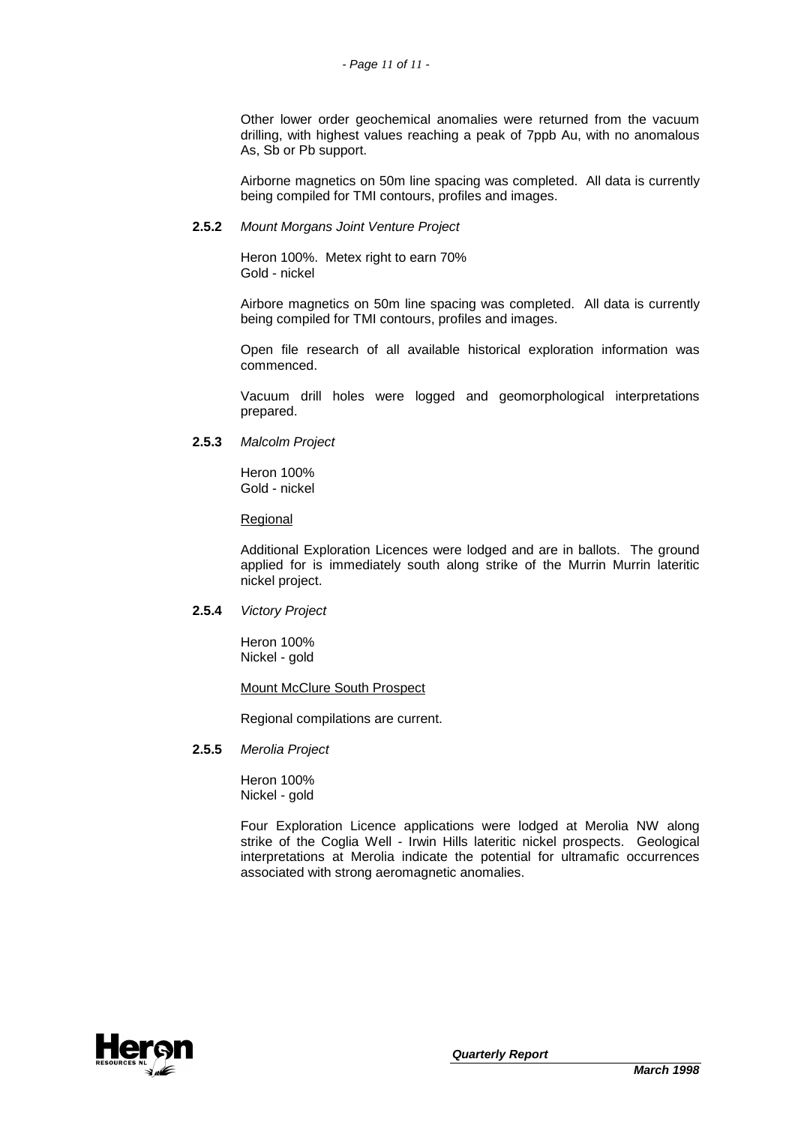Other lower order geochemical anomalies were returned from the vacuum drilling, with highest values reaching a peak of 7ppb Au, with no anomalous As, Sb or Pb support.

Airborne magnetics on 50m line spacing was completed. All data is currently being compiled for TMI contours, profiles and images.

# **2.5.2** Mount Morgans Joint Venture Project

Heron 100%. Metex right to earn 70% Gold - nickel

Airbore magnetics on 50m line spacing was completed. All data is currently being compiled for TMI contours, profiles and images.

Open file research of all available historical exploration information was commenced.

Vacuum drill holes were logged and geomorphological interpretations prepared.

**2.5.3** Malcolm Project

Heron 100% Gold - nickel

Regional

Additional Exploration Licences were lodged and are in ballots. The ground applied for is immediately south along strike of the Murrin Murrin lateritic nickel project.

**2.5.4** Victory Project

Heron 100% Nickel - gold

# Mount McClure South Prospect

Regional compilations are current.

**2.5.5** Merolia Project

Heron 100% Nickel - gold

Four Exploration Licence applications were lodged at Merolia NW along strike of the Coglia Well - Irwin Hills lateritic nickel prospects. Geological interpretations at Merolia indicate the potential for ultramafic occurrences associated with strong aeromagnetic anomalies.

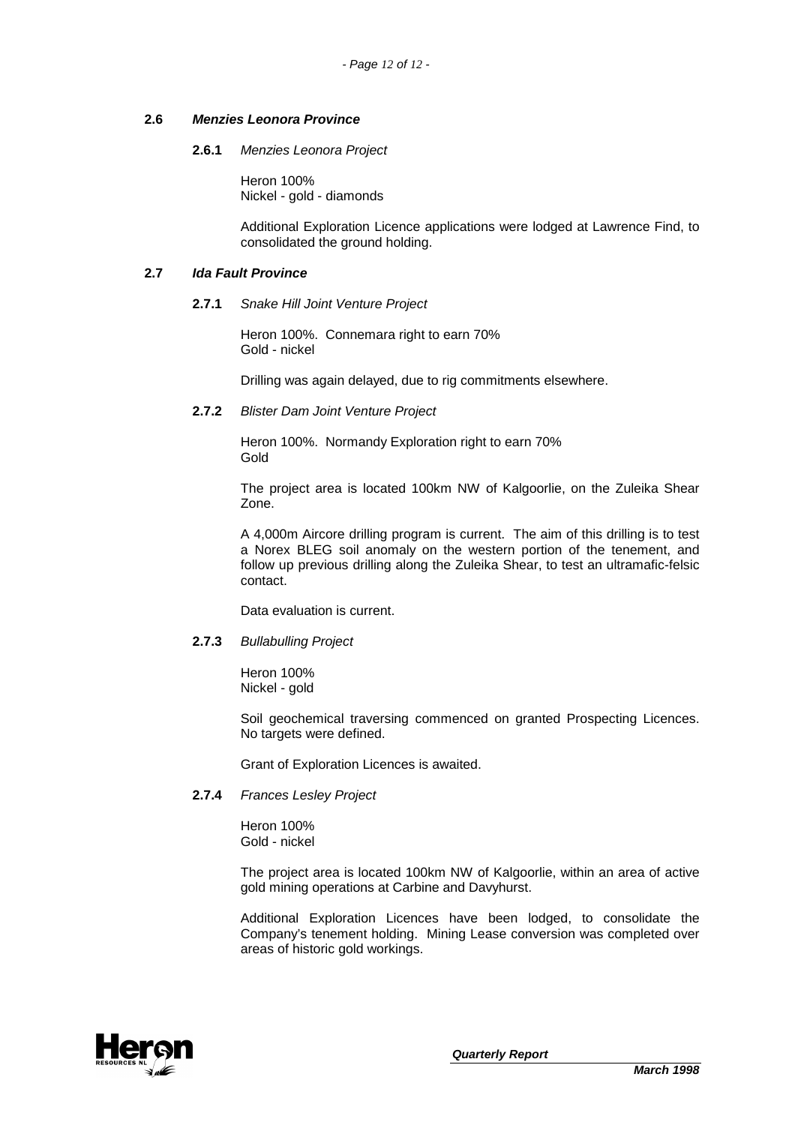# **2.6 Menzies Leonora Province**

**2.6.1** Menzies Leonora Project

Heron 100% Nickel - gold - diamonds

Additional Exploration Licence applications were lodged at Lawrence Find, to consolidated the ground holding.

# **2.7 Ida Fault Province**

#### **2.7.1** Snake Hill Joint Venture Project

Heron 100%. Connemara right to earn 70% Gold - nickel

Drilling was again delayed, due to rig commitments elsewhere.

# **2.7.2** Blister Dam Joint Venture Project

Heron 100%. Normandy Exploration right to earn 70% Gold

The project area is located 100km NW of Kalgoorlie, on the Zuleika Shear Zone.

A 4,000m Aircore drilling program is current. The aim of this drilling is to test a Norex BLEG soil anomaly on the western portion of the tenement, and follow up previous drilling along the Zuleika Shear, to test an ultramafic-felsic contact.

Data evaluation is current.

#### **2.7.3** Bullabulling Project

Heron 100% Nickel - gold

Soil geochemical traversing commenced on granted Prospecting Licences. No targets were defined.

Grant of Exploration Licences is awaited.

**2.7.4** Frances Lesley Project

Heron 100% Gold - nickel

The project area is located 100km NW of Kalgoorlie, within an area of active gold mining operations at Carbine and Davyhurst.

Additional Exploration Licences have been lodged, to consolidate the Company's tenement holding. Mining Lease conversion was completed over areas of historic gold workings.

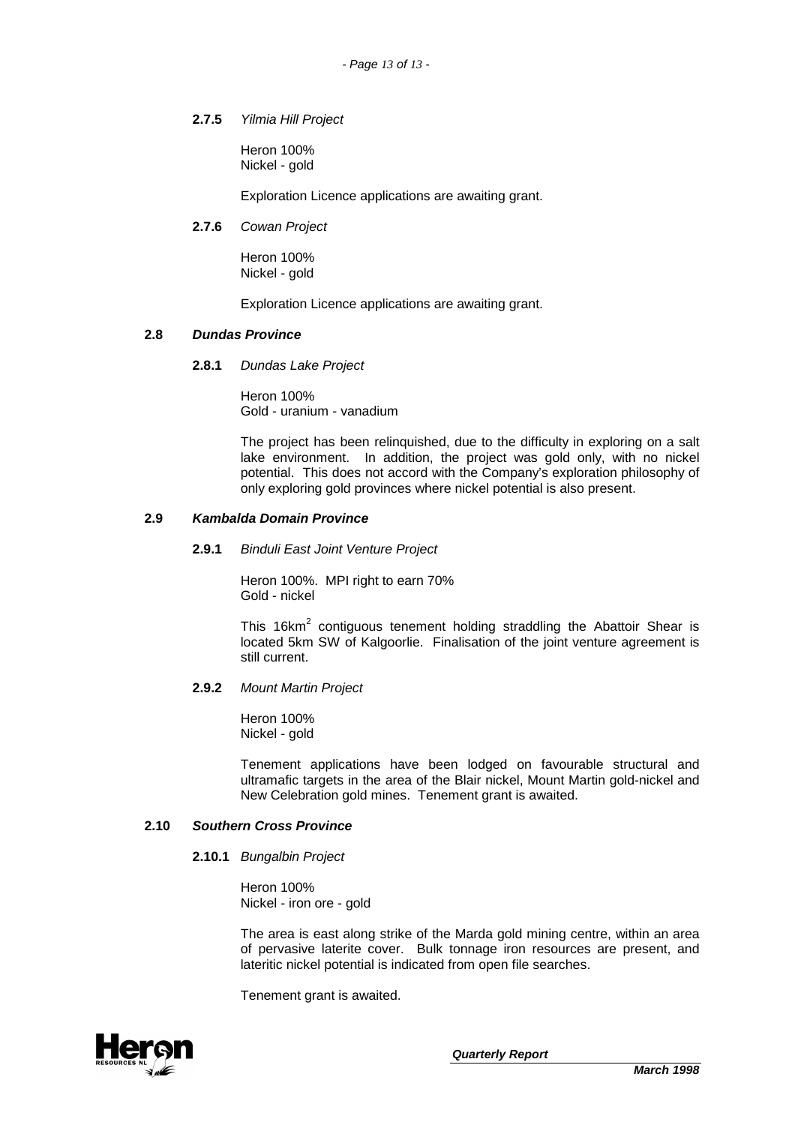# **2.7.5** Yilmia Hill Project

Heron 100% Nickel - gold

Exploration Licence applications are awaiting grant.

# **2.7.6** Cowan Project

Heron 100% Nickel - gold

Exploration Licence applications are awaiting grant.

#### **2.8 Dundas Province**

**2.8.1** Dundas Lake Project

Heron 100% Gold - uranium - vanadium

The project has been relinquished, due to the difficulty in exploring on a salt lake environment. In addition, the project was gold only, with no nickel potential. This does not accord with the Company's exploration philosophy of only exploring gold provinces where nickel potential is also present.

## **2.9 Kambalda Domain Province**

#### **2.9.1** Binduli East Joint Venture Project

Heron 100%. MPI right to earn 70% Gold - nickel

This 16 $km^2$  contiguous tenement holding straddling the Abattoir Shear is located 5km SW of Kalgoorlie. Finalisation of the joint venture agreement is still current.

#### **2.9.2** Mount Martin Project

Heron 100% Nickel - gold

Tenement applications have been lodged on favourable structural and ultramafic targets in the area of the Blair nickel, Mount Martin gold-nickel and New Celebration gold mines. Tenement grant is awaited.

# **2.10 Southern Cross Province**

#### **2.10.1** Bungalbin Project

Heron 100% Nickel - iron ore - gold

The area is east along strike of the Marda gold mining centre, within an area of pervasive laterite cover. Bulk tonnage iron resources are present, and lateritic nickel potential is indicated from open file searches.

Tenement grant is awaited.

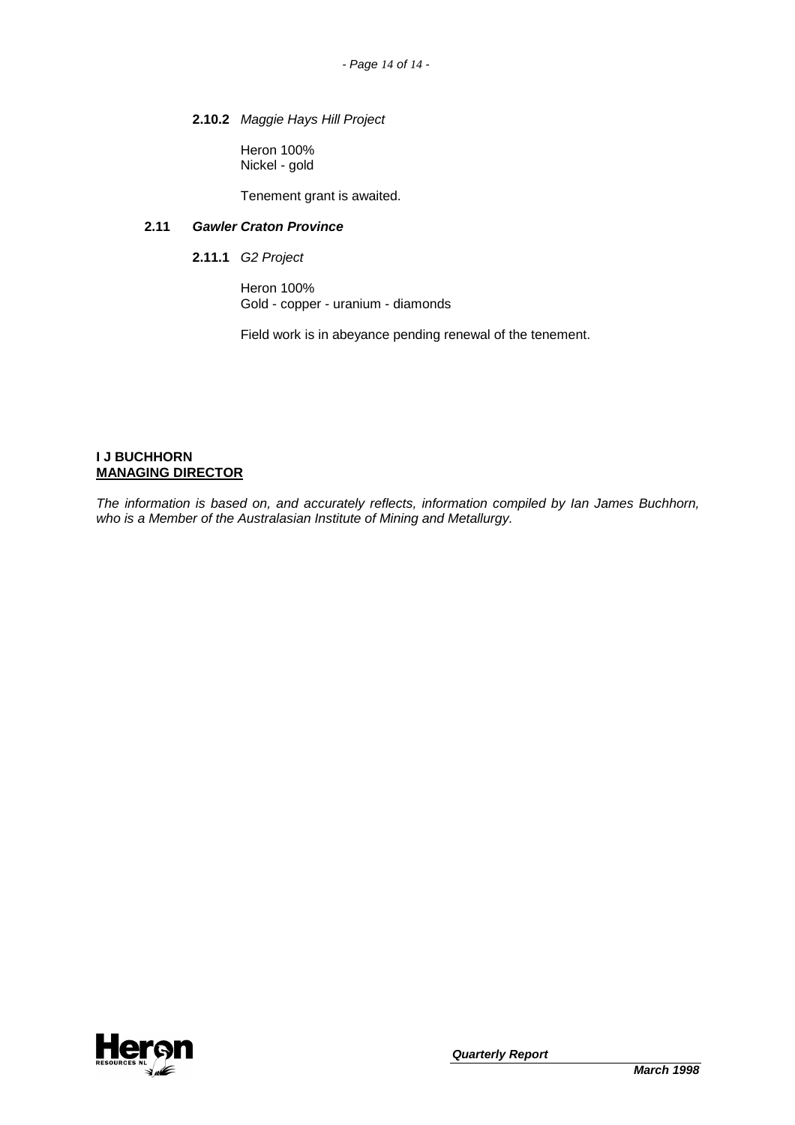# **2.10.2** Maggie Hays Hill Project

Heron 100% Nickel - gold

Tenement grant is awaited.

# **2.11 Gawler Craton Province**

**2.11.1** G2 Project

Heron 100% Gold - copper - uranium - diamonds

Field work is in abeyance pending renewal of the tenement.

# **I J BUCHHORN MANAGING DIRECTOR**

The information is based on, and accurately reflects, information compiled by Ian James Buchhorn, who is a Member of the Australasian Institute of Mining and Metallurgy.

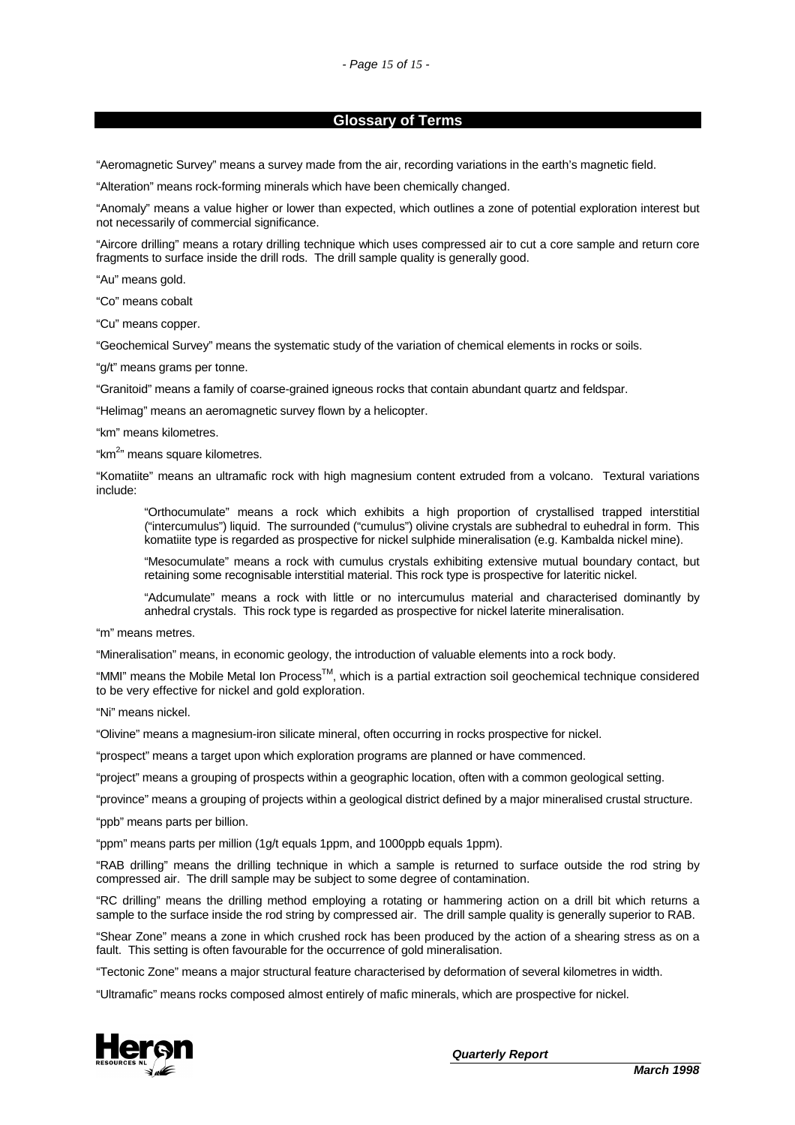#### **Glossary of Terms**

"Aeromagnetic Survey" means a survey made from the air, recording variations in the earth's magnetic field.

"Alteration" means rock-forming minerals which have been chemically changed.

"Anomaly" means a value higher or lower than expected, which outlines a zone of potential exploration interest but not necessarily of commercial significance.

"Aircore drilling" means a rotary drilling technique which uses compressed air to cut a core sample and return core fragments to surface inside the drill rods. The drill sample quality is generally good.

"Au" means gold.

"Co" means cobalt

"Cu" means copper.

"Geochemical Survey" means the systematic study of the variation of chemical elements in rocks or soils.

"g/t" means grams per tonne.

"Granitoid" means a family of coarse-grained igneous rocks that contain abundant quartz and feldspar.

"Helimag" means an aeromagnetic survey flown by a helicopter.

"km" means kilometres.

"km<sup>2</sup>" means square kilometres.

"Komatiite" means an ultramafic rock with high magnesium content extruded from a volcano. Textural variations include:

"Orthocumulate" means a rock which exhibits a high proportion of crystallised trapped interstitial ("intercumulus") liquid. The surrounded ("cumulus") olivine crystals are subhedral to euhedral in form. This komatiite type is regarded as prospective for nickel sulphide mineralisation (e.g. Kambalda nickel mine).

"Mesocumulate" means a rock with cumulus crystals exhibiting extensive mutual boundary contact, but retaining some recognisable interstitial material. This rock type is prospective for lateritic nickel.

"Adcumulate" means a rock with little or no intercumulus material and characterised dominantly by anhedral crystals. This rock type is regarded as prospective for nickel laterite mineralisation.

"m" means metres.

"Mineralisation" means, in economic geology, the introduction of valuable elements into a rock body.

"MMI" means the Mobile Metal Ion Process<sup>TM</sup>, which is a partial extraction soil geochemical technique considered to be very effective for nickel and gold exploration.

"Ni" means nickel.

"Olivine" means a magnesium-iron silicate mineral, often occurring in rocks prospective for nickel.

"prospect" means a target upon which exploration programs are planned or have commenced.

"project" means a grouping of prospects within a geographic location, often with a common geological setting.

"province" means a grouping of projects within a geological district defined by a major mineralised crustal structure.

"ppb" means parts per billion.

"ppm" means parts per million (1g/t equals 1ppm, and 1000ppb equals 1ppm).

"RAB drilling" means the drilling technique in which a sample is returned to surface outside the rod string by compressed air. The drill sample may be subject to some degree of contamination.

"RC drilling" means the drilling method employing a rotating or hammering action on a drill bit which returns a sample to the surface inside the rod string by compressed air. The drill sample quality is generally superior to RAB.

"Shear Zone" means a zone in which crushed rock has been produced by the action of a shearing stress as on a fault. This setting is often favourable for the occurrence of gold mineralisation.

"Tectonic Zone" means a major structural feature characterised by deformation of several kilometres in width.

"Ultramafic" means rocks composed almost entirely of mafic minerals, which are prospective for nickel.

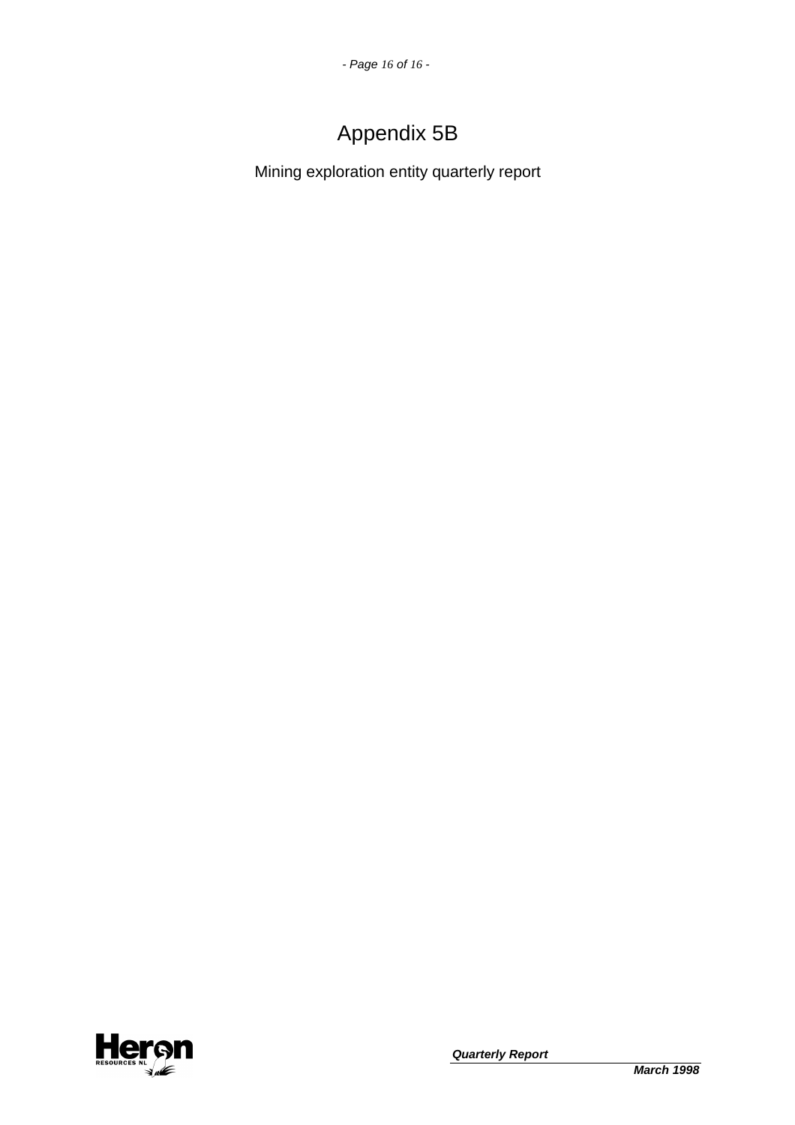# Appendix 5B

Mining exploration entity quarterly report

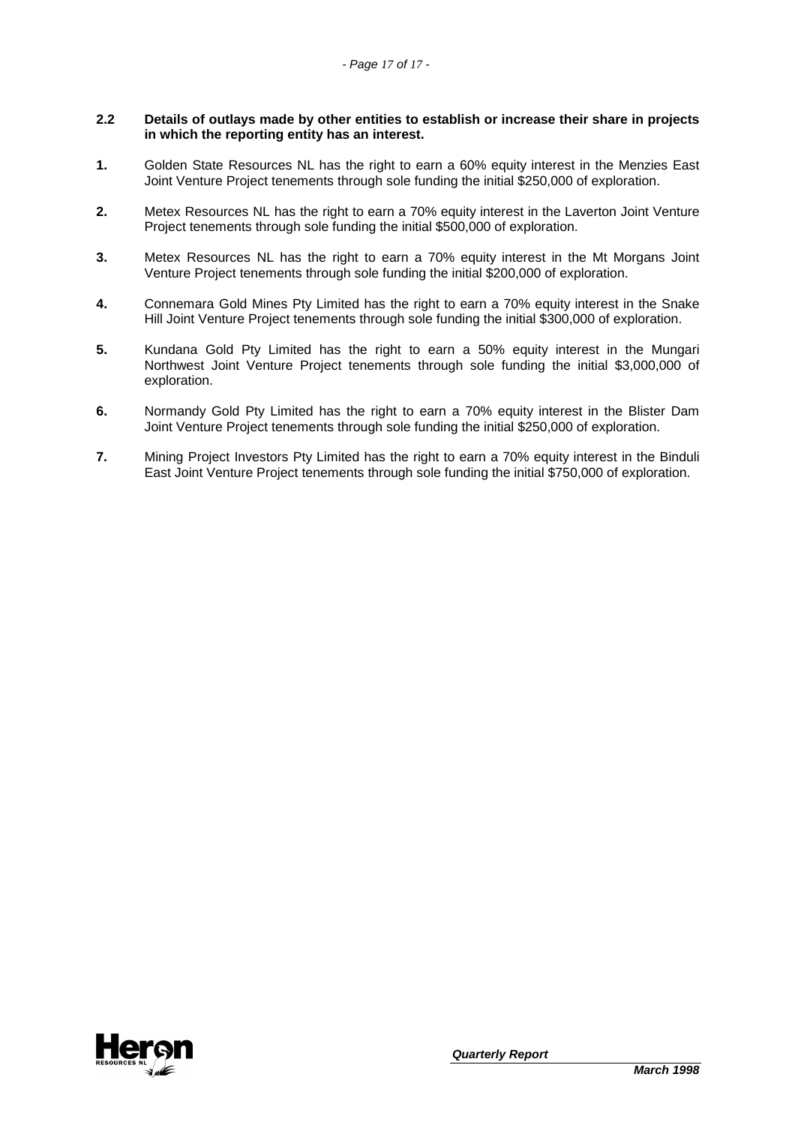#### **2.2 Details of outlays made by other entities to establish or increase their share in projects in which the reporting entity has an interest.**

- **1.** Golden State Resources NL has the right to earn a 60% equity interest in the Menzies East Joint Venture Project tenements through sole funding the initial \$250,000 of exploration.
- **2.** Metex Resources NL has the right to earn a 70% equity interest in the Laverton Joint Venture Project tenements through sole funding the initial \$500,000 of exploration.
- **3.** Metex Resources NL has the right to earn a 70% equity interest in the Mt Morgans Joint Venture Project tenements through sole funding the initial \$200,000 of exploration.
- **4.** Connemara Gold Mines Pty Limited has the right to earn a 70% equity interest in the Snake Hill Joint Venture Project tenements through sole funding the initial \$300,000 of exploration.
- **5.** Kundana Gold Pty Limited has the right to earn a 50% equity interest in the Mungari Northwest Joint Venture Project tenements through sole funding the initial \$3,000,000 of exploration.
- **6.** Normandy Gold Pty Limited has the right to earn a 70% equity interest in the Blister Dam Joint Venture Project tenements through sole funding the initial \$250,000 of exploration.
- **7.** Mining Project Investors Pty Limited has the right to earn a 70% equity interest in the Binduli East Joint Venture Project tenements through sole funding the initial \$750,000 of exploration.

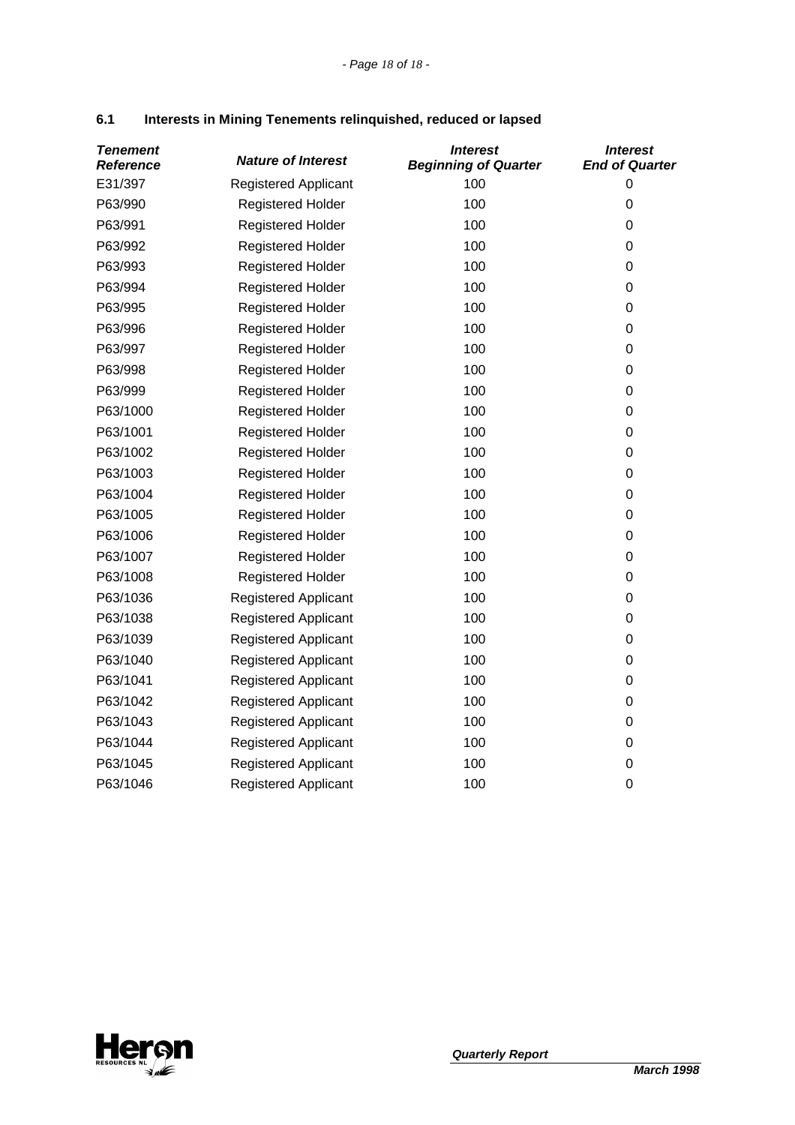| <b>Tenement</b><br><b>Reference</b> | <b>Nature of Interest</b>   | <b>Interest</b><br><b>Beginning of Quarter</b> | <b>Interest</b><br><b>End of Quarter</b> |
|-------------------------------------|-----------------------------|------------------------------------------------|------------------------------------------|
| E31/397                             | <b>Registered Applicant</b> | 100                                            | $\mathbf 0$                              |
| P63/990                             | <b>Registered Holder</b>    | 100                                            | 0                                        |
| P63/991                             | <b>Registered Holder</b>    | 100                                            | 0                                        |
| P63/992                             | <b>Registered Holder</b>    | 100                                            | 0                                        |
| P63/993                             | <b>Registered Holder</b>    | 100                                            | 0                                        |
| P63/994                             | <b>Registered Holder</b>    | 100                                            | 0                                        |
| P63/995                             | <b>Registered Holder</b>    | 100                                            | 0                                        |
| P63/996                             | <b>Registered Holder</b>    | 100                                            | 0                                        |
| P63/997                             | <b>Registered Holder</b>    | 100                                            | 0                                        |
| P63/998                             | <b>Registered Holder</b>    | 100                                            | 0                                        |
| P63/999                             | Registered Holder           | 100                                            | 0                                        |
| P63/1000                            | <b>Registered Holder</b>    | 100                                            | 0                                        |
| P63/1001                            | <b>Registered Holder</b>    | 100                                            | 0                                        |
| P63/1002                            | <b>Registered Holder</b>    | 100                                            | 0                                        |
| P63/1003                            | <b>Registered Holder</b>    | 100                                            | 0                                        |
| P63/1004                            | <b>Registered Holder</b>    | 100                                            | 0                                        |
| P63/1005                            | <b>Registered Holder</b>    | 100                                            | 0                                        |
| P63/1006                            | <b>Registered Holder</b>    | 100                                            | 0                                        |
| P63/1007                            | Registered Holder           | 100                                            | 0                                        |
| P63/1008                            | <b>Registered Holder</b>    | 100                                            | 0                                        |
| P63/1036                            | <b>Registered Applicant</b> | 100                                            | 0                                        |
| P63/1038                            | <b>Registered Applicant</b> | 100                                            | 0                                        |
| P63/1039                            | <b>Registered Applicant</b> | 100                                            | 0                                        |
| P63/1040                            | <b>Registered Applicant</b> | 100                                            | 0                                        |
| P63/1041                            | <b>Registered Applicant</b> | 100                                            | 0                                        |
| P63/1042                            | <b>Registered Applicant</b> | 100                                            | 0                                        |
| P63/1043                            | <b>Registered Applicant</b> | 100                                            | 0                                        |
| P63/1044                            | <b>Registered Applicant</b> | 100                                            | 0                                        |
| P63/1045                            | <b>Registered Applicant</b> | 100                                            | 0                                        |
| P63/1046                            | <b>Registered Applicant</b> | 100                                            | 0                                        |

# **6.1 Interests in Mining Tenements relinquished, reduced or lapsed**

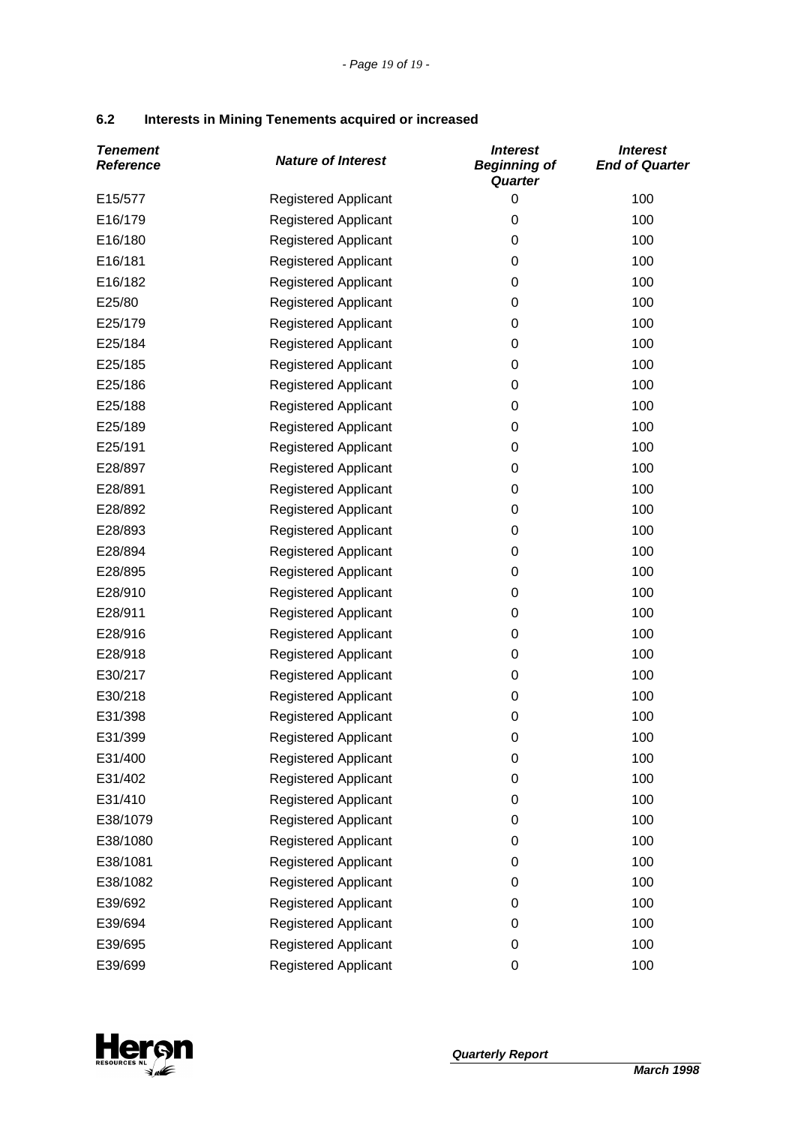# **6.2 Interests in Mining Tenements acquired or increased**

| <b>Tenement</b><br><b>Reference</b> | <b>Nature of Interest</b>   | <i><b>Interest</b></i><br><b>Beginning of</b><br>Quarter | <b>Interest</b><br><b>End of Quarter</b> |
|-------------------------------------|-----------------------------|----------------------------------------------------------|------------------------------------------|
| E15/577                             | <b>Registered Applicant</b> | 0                                                        | 100                                      |
| E16/179                             | <b>Registered Applicant</b> | 0                                                        | 100                                      |
| E16/180                             | Registered Applicant        | 0                                                        | 100                                      |
| E16/181                             | <b>Registered Applicant</b> | 0                                                        | 100                                      |
| E16/182                             | <b>Registered Applicant</b> | 0                                                        | 100                                      |
| E25/80                              | <b>Registered Applicant</b> | 0                                                        | 100                                      |
| E25/179                             | <b>Registered Applicant</b> | 0                                                        | 100                                      |
| E25/184                             | <b>Registered Applicant</b> | 0                                                        | 100                                      |
| E25/185                             | <b>Registered Applicant</b> | 0                                                        | 100                                      |
| E25/186                             | <b>Registered Applicant</b> | 0                                                        | 100                                      |
| E25/188                             | <b>Registered Applicant</b> | 0                                                        | 100                                      |
| E25/189                             | <b>Registered Applicant</b> | 0                                                        | 100                                      |
| E25/191                             | <b>Registered Applicant</b> | 0                                                        | 100                                      |
| E28/897                             | <b>Registered Applicant</b> | 0                                                        | 100                                      |
| E28/891                             | Registered Applicant        | 0                                                        | 100                                      |
| E28/892                             | <b>Registered Applicant</b> | 0                                                        | 100                                      |
| E28/893                             | <b>Registered Applicant</b> | 0                                                        | 100                                      |
| E28/894                             | <b>Registered Applicant</b> | 0                                                        | 100                                      |
| E28/895                             | <b>Registered Applicant</b> | 0                                                        | 100                                      |
| E28/910                             | <b>Registered Applicant</b> | 0                                                        | 100                                      |
| E28/911                             | <b>Registered Applicant</b> | 0                                                        | 100                                      |
| E28/916                             | <b>Registered Applicant</b> | 0                                                        | 100                                      |
| E28/918                             | <b>Registered Applicant</b> | 0                                                        | 100                                      |
| E30/217                             | <b>Registered Applicant</b> | 0                                                        | 100                                      |
| E30/218                             | <b>Registered Applicant</b> | 0                                                        | 100                                      |
| E31/398                             | <b>Registered Applicant</b> | 0                                                        | 100                                      |
| E31/399                             | Registered Applicant        | 0                                                        | 100                                      |
| E31/400                             | <b>Registered Applicant</b> | 0                                                        | 100                                      |
| E31/402                             | <b>Registered Applicant</b> | 0                                                        | 100                                      |
| E31/410                             | <b>Registered Applicant</b> | 0                                                        | 100                                      |
| E38/1079                            | <b>Registered Applicant</b> | 0                                                        | 100                                      |
| E38/1080                            | <b>Registered Applicant</b> | 0                                                        | 100                                      |
| E38/1081                            | <b>Registered Applicant</b> | 0                                                        | 100                                      |
| E38/1082                            | <b>Registered Applicant</b> | 0                                                        | 100                                      |
| E39/692                             | <b>Registered Applicant</b> | 0                                                        | 100                                      |
| E39/694                             | <b>Registered Applicant</b> | 0                                                        | 100                                      |
| E39/695                             | <b>Registered Applicant</b> | 0                                                        | 100                                      |
| E39/699                             | <b>Registered Applicant</b> | 0                                                        | 100                                      |